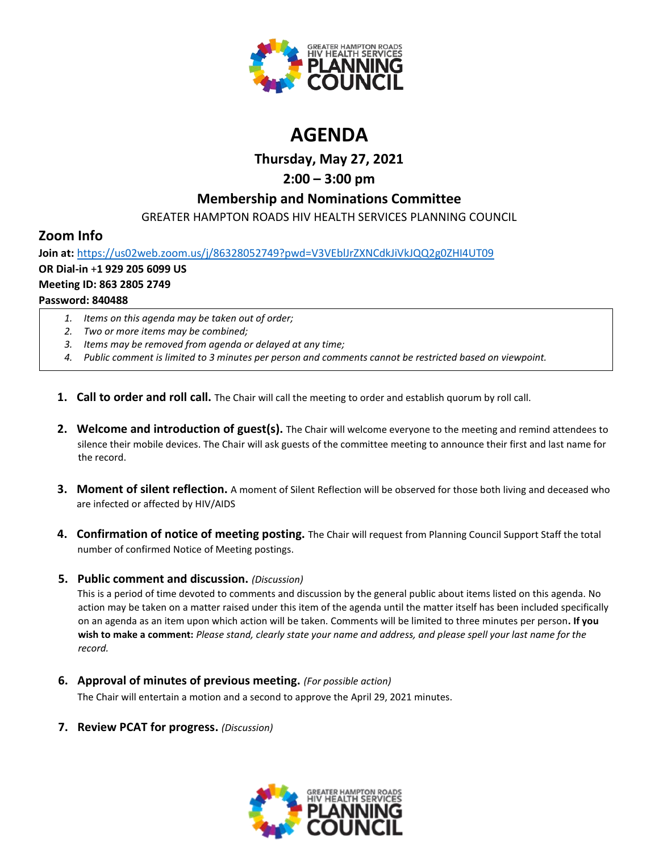

# **AGENDA**

**Thursday, May 27, 2021**

# **2:00 – 3:00 pm**

## **Membership and Nominations Committee**

GREATER HAMPTON ROADS HIV HEALTH SERVICES PLANNING COUNCIL

## **Zoom Info**

**Join at:** <https://us02web.zoom.us/j/86328052749?pwd=V3VEblJrZXNCdkJiVkJQQ2g0ZHI4UT09> **OR Dial-in** +**1 929 205 6099 US Meeting ID: 863 2805 2749 Password: 840488**

- *1. Items on this agenda may be taken out of order;*
- *2. Two or more items may be combined;*
- *3. Items may be removed from agenda or delayed at any time;*
- *4. Public comment is limited to 3 minutes per person and comments cannot be restricted based on viewpoint.*
- **1. Call to order and roll call.** The Chair will call the meeting to order and establish quorum by roll call.
- **2. Welcome and introduction of guest(s).** The Chair will welcome everyone to the meeting and remind attendees to silence their mobile devices. The Chair will ask guests of the committee meeting to announce their first and last name for the record.
- **3. Moment of silent reflection.** A moment of Silent Reflection will be observed for those both living and deceased who are infected or affected by HIV/AIDS
- **4. Confirmation of notice of meeting posting.** The Chair will request from Planning Council Support Staff the total number of confirmed Notice of Meeting postings.

## **5. Public comment and discussion.** *(Discussion)*

This is a period of time devoted to comments and discussion by the general public about items listed on this agenda. No action may be taken on a matter raised under this item of the agenda until the matter itself has been included specifically on an agenda as an item upon which action will be taken. Comments will be limited to three minutes per person**. If you wish to make a comment:** *Please stand, clearly state your name and address, and please spell your last name for the record.*

**6. Approval of minutes of previous meeting.** *(For possible action)*

The Chair will entertain a motion and a second to approve the April 29, 2021 minutes.

**7. Review PCAT for progress.** *(Discussion)*